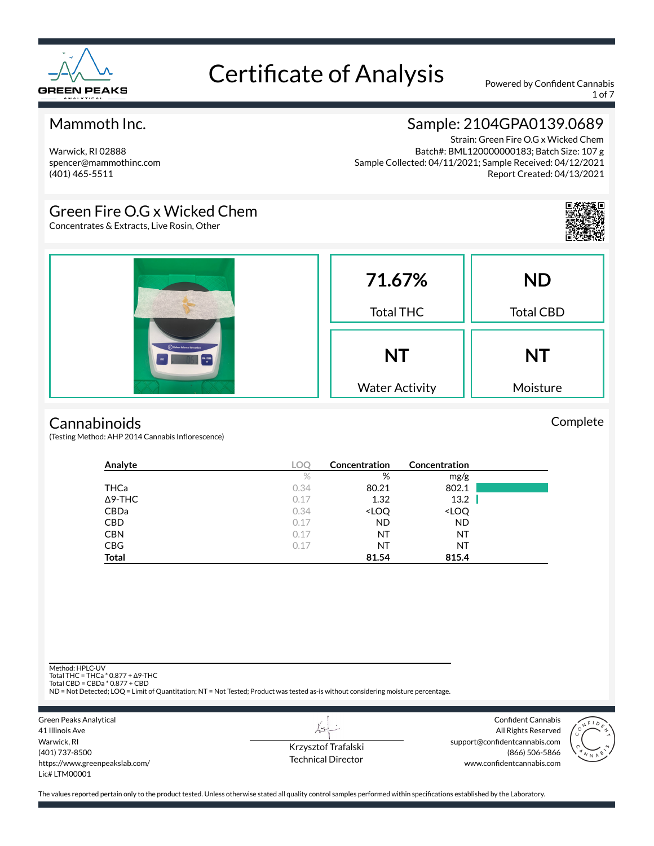

1 of 7

### Mammoth Inc.

Warwick, RI 02888 spencer@mammothinc.com (401) 465-5511

### Sample: 2104GPA0139.0689

Strain: Green Fire O.G x Wicked Chem Batch#: BML120000000183; Batch Size: 107 g Sample Collected: 04/11/2021; Sample Received: 04/12/2021 Report Created: 04/13/2021

### Green Fire O.G x Wicked Chem

Concentrates & Extracts, Live Rosin, Other



#### **Cannabinoids**

(Testing Method: AHP 2014 Cannabis Inflorescence)

| Analyte        | <b>LOC</b> | Concentration                                            | Concentration                |  |
|----------------|------------|----------------------------------------------------------|------------------------------|--|
|                | $\%$       | %                                                        | mg/g                         |  |
| THCa           | 0.34       | 80.21                                                    | 802.1                        |  |
| $\Delta$ 9-THC | 0.17       | 1.32                                                     | 13.2                         |  |
| <b>CBDa</b>    | 0.34       | <loq< td=""><td><loq< td=""><td></td></loq<></td></loq<> | <loq< td=""><td></td></loq<> |  |
| <b>CBD</b>     | 0.17       | <b>ND</b>                                                | <b>ND</b>                    |  |
| <b>CBN</b>     | 0.17       | NT                                                       | ΝT                           |  |
| <b>CBG</b>     | 0.17       | NT                                                       | ΝT                           |  |
| <b>Total</b>   |            | 81.54                                                    | 815.4                        |  |

Method: HPLC-UV

Total THC = THCa \* 0.877 + ∆9-THC Total CBD = CBDa \* 0.877 + CBD

ND = Not Detected; LOQ = Limit of Quantitation; NT = Not Tested; Product was tested as-is without considering moisture percentage.



Krzysztof Trafalski Technical Director

L+

Confident Cannabis All Rights Reserved support@confidentcannabis.com (866) 506-5866 www.confidentcannabis.com



The values reported pertain only to the product tested. Unless otherwise stated all quality control samples performed within specifications established by the Laboratory.

Complete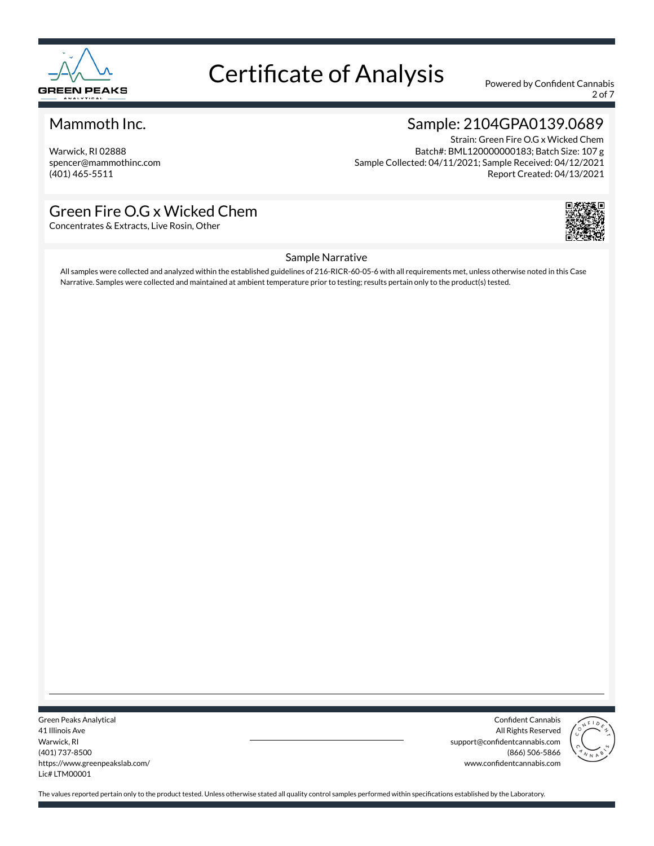

2 of 7

### Mammoth Inc.

Warwick, RI 02888 spencer@mammothinc.com (401) 465-5511

### Sample: 2104GPA0139.0689

Strain: Green Fire O.G x Wicked Chem Batch#: BML120000000183; Batch Size: 107 g Sample Collected: 04/11/2021; Sample Received: 04/12/2021 Report Created: 04/13/2021

### Green Fire O.G x Wicked Chem





#### Sample Narrative

All samples were collected and analyzed within the established guidelines of 216-RICR-60-05-6 with all requirements met, unless otherwise noted in this Case Narrative. Samples were collected and maintained at ambient temperature prior to testing; results pertain only to the product(s) tested.

Green Peaks Analytical 41 Illinois Ave Warwick, RI (401) 737-8500 https://www.greenpeakslab.com/ Lic# LTM00001

Confident Cannabis All Rights Reserved support@confidentcannabis.com (866) 506-5866 www.confidentcannabis.com

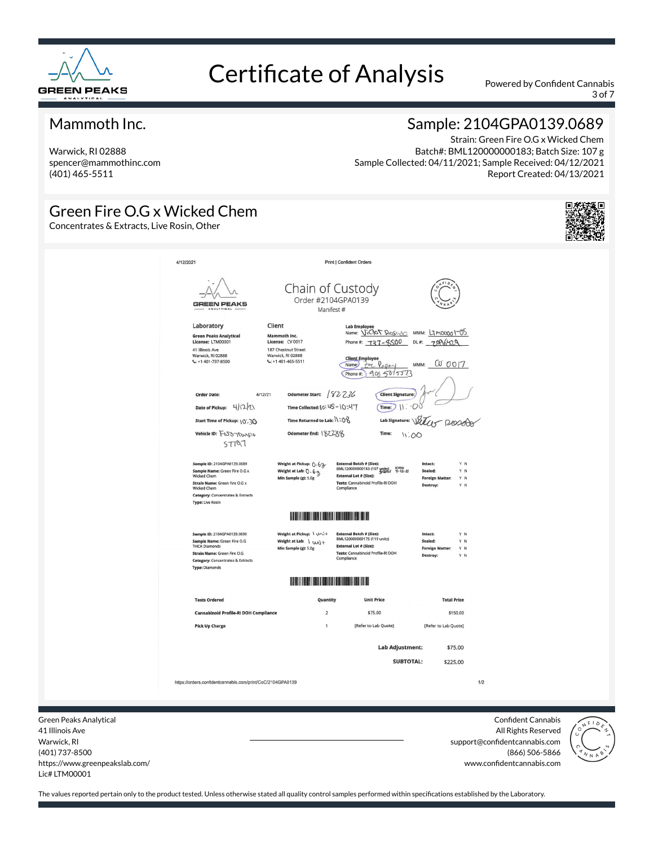

3 of 7

#### Mammoth Inc.

Warwick, RI 02888 spencer@mammothinc.com (401) 465-5511

### Sample: 2104GPA0139.0689

Strain: Green Fire O.G x Wicked Chem Batch#: BML120000000183; Batch Size: 107 g Sample Collected: 04/11/2021; Sample Received: 04/12/2021 Report Created: 04/13/2021

#### Green Fire O.G x Wicked Chem Concentrates & Extracts, Live Rosin, Other 4/12/2021 Print | Confident Orders Chain of Custody Order #2104GPA0139 **GREEN PEAKS** Manifest # Laboratory Client Lab En Name: <u>Victor Rosado</u> MMM: L7 M0000 1-05 Green Peaks Analytical<br>License: LTM00001 Mammoth Inc.<br>License: CV 0017 Phone #: 737-8500 DL#: 7096429 41 Illinois Ave<br>Warwick, RI 02888<br>C: +1 401-737-8500 187 Chestnut Street<br>Warwick, RI 02888<br>C: +1 401-465-5511 Client Employee<br>Name: <u>Por</u> Papay MMM: W0017 Phone#: 9685015573 Odometer Start: 182236 Order Date:  $112721$ Client Sig Time Collected: [0: 45 - 10:47 Date of Pickup: 4/2/2)  $(Time: )$  ||:  $O$ Lab Signature: Viters 1200000 Start Time of Pickup: 10', 30 Time Returned to Lab: \\ `\ O\ Odometer End: 182238 Vehicle ID: FOSOTTWSIT Time:  $\sqrt{20}$  $57707$ Weight at Pickup:  $0.69$ Sample ID: 2104GPA0139.0689 weight at Pickup: (). 6<br>Welght at Lab: () . 6<br>Min Camala (a): 5.0 Sample Name: Green Fire O.G x<br>Wicked Chem **External Lot # (Size):** Min Sample (g): 5.0g Foreign Y N **Tests: Cannabinoid Profile-RI DOH**<br>**Compliance** Strain Name: Green Fire O.G x<br>Wicked Chem **Category:** Concentrates & Extracts Type: Live Rosin **HOLLAND CONTRACTOR** Sample ID: 2104GPA0139.0690 Weight at Pickup: \ wi+ t<mark>ch # (Size):</mark><br>)00175 (119 units) Weight at Lab:  $1 \omega i +$ **Sample Name:** Green Fire O.G<br>THCA Diamonds  $V N$ External Lot # (Size): Min Sample (g): 5.0g External Lot # (Size):<br>Tests: Cannabinoid Profile-RI DOH<br>Comoliance **Foreign M** Y N Strain Name: Green Fire O.G Category: Concentrates & Extracts<br>Type: Diamonds **THE REAL PROPERTY OF STATE Tests Ordered Quantity Unit Price Total Price** Cannabinoid Profile-RI DOH Compliance  $\overline{a}$ \$75.00 \$150.00 Pick Up Charge [Refer to Lab Quote] [Refer to Lab Quote] \$75.00 **Lab Adiustment: SUBTOTAL:** \$225.00 https://orders.confidentcannabis.com/print/CoC/2104GPA0139  $1/2$

Green Peaks Analytical 41 Illinois Ave Warwick, RI (401) 737-8500 https://www.greenpeakslab.com/ Lic# LTM00001

Confident Cannabis All Rights Reserved support@confidentcannabis.com (866) 506-5866 www.confidentcannabis.com

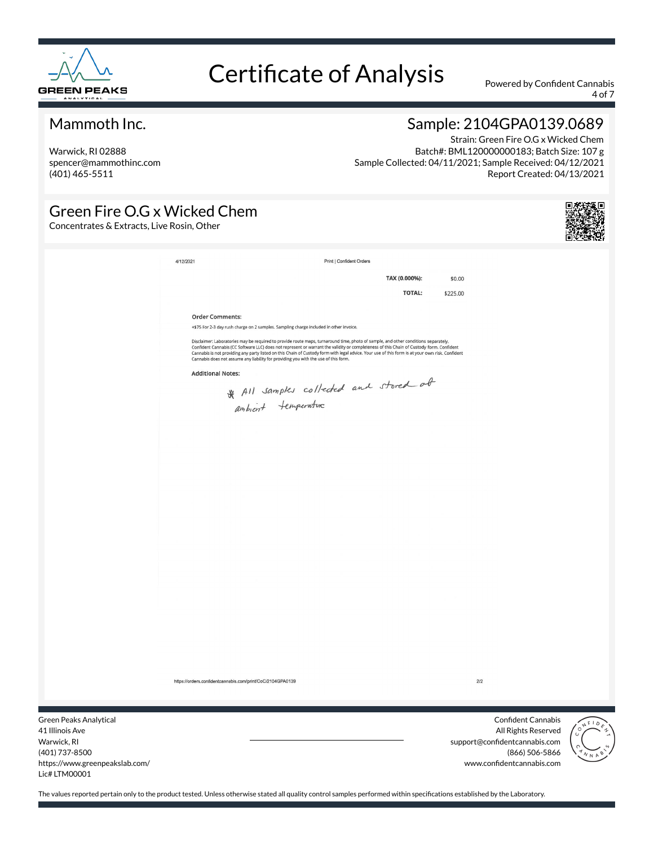

4 of 7

### Mammoth Inc.

Warwick, RI 02888 spencer@mammothinc.com (401) 465-5511

### Sample: 2104GPA0139.0689

Strain: Green Fire O.G x Wicked Chem Batch#: BML120000000183; Batch Size: 107 g Sample Collected: 04/11/2021; Sample Received: 04/12/2021 Report Created: 04/13/2021

### Green Fire O.G x Wicked Chem

Concentrates & Extracts, Live Rosin, Other

|                               | 4/12/2021                                                                              | Print   Confident Orders                                                                                                                                                                                                                                                       |                                                                                                                                                  |                                                            |
|-------------------------------|----------------------------------------------------------------------------------------|--------------------------------------------------------------------------------------------------------------------------------------------------------------------------------------------------------------------------------------------------------------------------------|--------------------------------------------------------------------------------------------------------------------------------------------------|------------------------------------------------------------|
|                               |                                                                                        |                                                                                                                                                                                                                                                                                | TAX (0.000%):<br>\$0.00                                                                                                                          |                                                            |
|                               |                                                                                        |                                                                                                                                                                                                                                                                                | <b>TOTAL:</b><br>\$225.00                                                                                                                        |                                                            |
|                               |                                                                                        |                                                                                                                                                                                                                                                                                |                                                                                                                                                  |                                                            |
|                               | <b>Order Comments:</b>                                                                 |                                                                                                                                                                                                                                                                                |                                                                                                                                                  |                                                            |
|                               | +\$75 For 2-3 day rush charge on 2 samples. Sampling charge included in other invoice. |                                                                                                                                                                                                                                                                                |                                                                                                                                                  |                                                            |
|                               | Cannabis does not assume any liability for providing you with the use of this form.    | Disclaimer: Laboratories may be required to provide route maps, turnaround time, photo of sample, and other conditions separately.<br>Confident Cannabis (CC Software LLC) does not represent or warrant the validity or completeness of this Chain of Custody form. Confident | Cannabis is not providing any party listed on this Chain of Custody form with legal advice. Your use of this form is at your own risk. Confident |                                                            |
|                               | <b>Additional Notes:</b>                                                               |                                                                                                                                                                                                                                                                                |                                                                                                                                                  |                                                            |
|                               |                                                                                        | * All samples collected and stored of                                                                                                                                                                                                                                          |                                                                                                                                                  |                                                            |
|                               |                                                                                        |                                                                                                                                                                                                                                                                                |                                                                                                                                                  |                                                            |
|                               |                                                                                        |                                                                                                                                                                                                                                                                                |                                                                                                                                                  |                                                            |
|                               |                                                                                        |                                                                                                                                                                                                                                                                                |                                                                                                                                                  |                                                            |
|                               |                                                                                        |                                                                                                                                                                                                                                                                                |                                                                                                                                                  |                                                            |
|                               |                                                                                        |                                                                                                                                                                                                                                                                                |                                                                                                                                                  |                                                            |
|                               |                                                                                        |                                                                                                                                                                                                                                                                                |                                                                                                                                                  |                                                            |
|                               |                                                                                        |                                                                                                                                                                                                                                                                                |                                                                                                                                                  |                                                            |
|                               |                                                                                        |                                                                                                                                                                                                                                                                                |                                                                                                                                                  |                                                            |
|                               |                                                                                        |                                                                                                                                                                                                                                                                                |                                                                                                                                                  |                                                            |
|                               |                                                                                        |                                                                                                                                                                                                                                                                                |                                                                                                                                                  |                                                            |
|                               |                                                                                        |                                                                                                                                                                                                                                                                                |                                                                                                                                                  |                                                            |
|                               |                                                                                        |                                                                                                                                                                                                                                                                                |                                                                                                                                                  |                                                            |
|                               |                                                                                        |                                                                                                                                                                                                                                                                                |                                                                                                                                                  |                                                            |
|                               |                                                                                        |                                                                                                                                                                                                                                                                                |                                                                                                                                                  |                                                            |
|                               |                                                                                        |                                                                                                                                                                                                                                                                                |                                                                                                                                                  |                                                            |
|                               |                                                                                        |                                                                                                                                                                                                                                                                                |                                                                                                                                                  |                                                            |
|                               |                                                                                        |                                                                                                                                                                                                                                                                                |                                                                                                                                                  |                                                            |
|                               |                                                                                        |                                                                                                                                                                                                                                                                                |                                                                                                                                                  |                                                            |
|                               |                                                                                        |                                                                                                                                                                                                                                                                                |                                                                                                                                                  |                                                            |
|                               |                                                                                        |                                                                                                                                                                                                                                                                                |                                                                                                                                                  |                                                            |
|                               | https://orders.confidentcannabis.com/print/CoC/2104GPA0139                             |                                                                                                                                                                                                                                                                                |                                                                                                                                                  | $2/2$                                                      |
|                               |                                                                                        |                                                                                                                                                                                                                                                                                |                                                                                                                                                  |                                                            |
| Green Peaks Analytical        |                                                                                        |                                                                                                                                                                                                                                                                                |                                                                                                                                                  | <b>Confident Cannabis</b>                                  |
| 41 Illinois Ave               |                                                                                        |                                                                                                                                                                                                                                                                                |                                                                                                                                                  | $\sqrt[n]{\frac{N_{F}}{n}}$<br>All Rights Reserved         |
| Warwick, RI<br>(401) 737-8500 |                                                                                        |                                                                                                                                                                                                                                                                                |                                                                                                                                                  | support@confidentcannabis.com<br>(866) 506-5866<br>$N_{N}$ |

www.confidentcannabis.com

41 Illinois Ave Warwick, RI (401) 737-8500 https://www.greenpeakslab.com/ Lic# LTM00001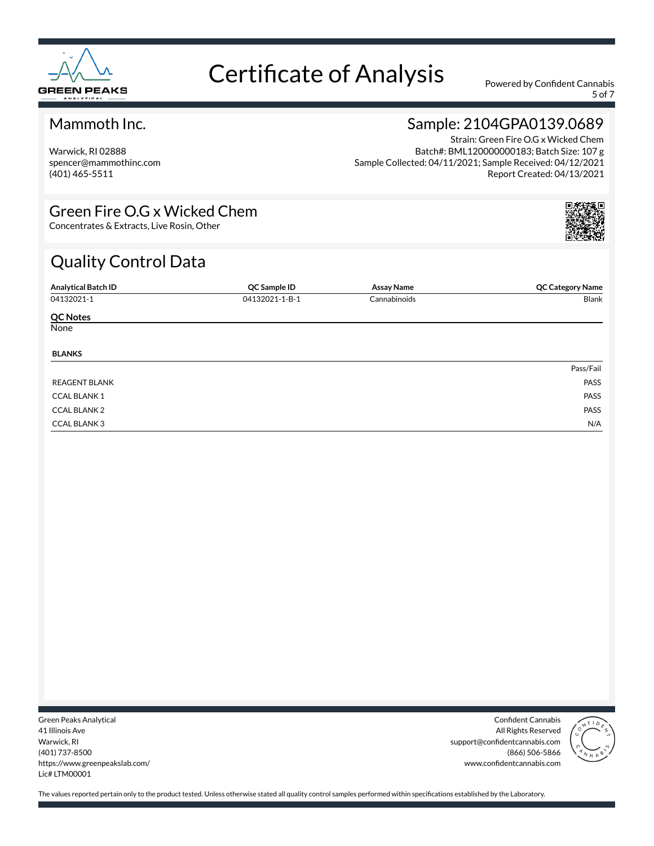

5 of 7

### Mammoth Inc.

Warwick, RI 02888 spencer@mammothinc.com (401) 465-5511

### Sample: 2104GPA0139.0689

Strain: Green Fire O.G x Wicked Chem Batch#: BML120000000183; Batch Size: 107 g Sample Collected: 04/11/2021; Sample Received: 04/12/2021 Report Created: 04/13/2021

### Green Fire O.G x Wicked Chem

Concentrates & Extracts, Live Rosin, Other

### Quality Control Data

| <b>Analytical Batch ID</b> | QC Sample ID   | <b>Assay Name</b> | <b>QC Category Name</b> |
|----------------------------|----------------|-------------------|-------------------------|
| 04132021-1                 | 04132021-1-B-1 | Cannabinoids      | Blank                   |
| <b>QC Notes</b>            |                |                   |                         |
| None                       |                |                   |                         |
| <b>BLANKS</b>              |                |                   |                         |
|                            |                |                   | Pass/Fail               |
| <b>REAGENT BLANK</b>       |                |                   | PASS                    |
| <b>CCAL BLANK1</b>         |                |                   | PASS                    |
| <b>CCAL BLANK 2</b>        |                |                   | PASS                    |
| <b>CCAL BLANK3</b>         |                |                   | N/A                     |

Green Peaks Analytical 41 Illinois Ave Warwick, RI (401) 737-8500 https://www.greenpeakslab.com/ Lic# LTM00001

Confident Cannabis All Rights Reserved support@confidentcannabis.com (866) 506-5866 www.confidentcannabis.com

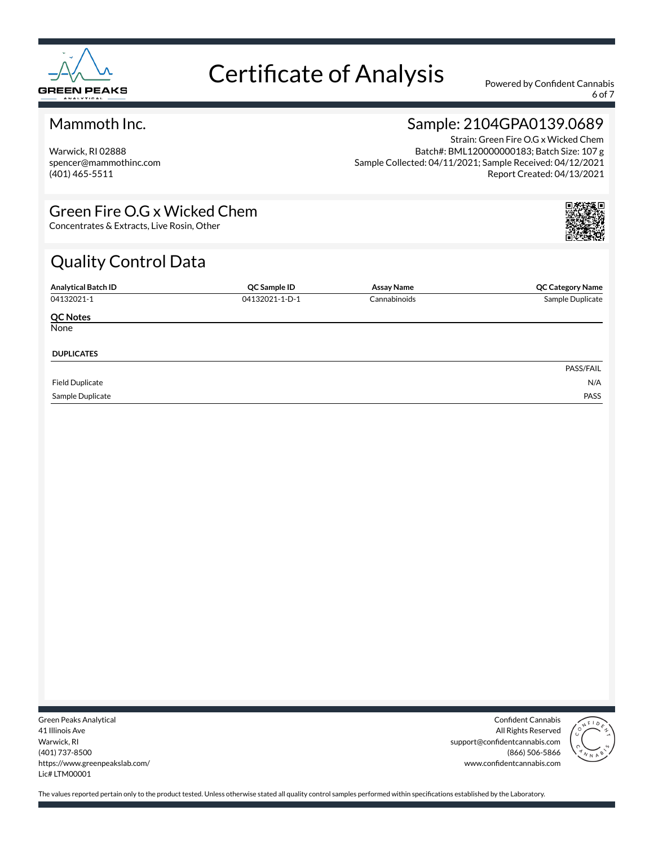

6 of 7

#### Mammoth Inc.

Warwick, RI 02888 spencer@mammothinc.com (401) 465-5511

### Sample: 2104GPA0139.0689

Strain: Green Fire O.G x Wicked Chem Batch#: BML120000000183; Batch Size: 107 g Sample Collected: 04/11/2021; Sample Received: 04/12/2021 Report Created: 04/13/2021

### Green Fire O.G x Wicked Chem

Concentrates & Extracts, Live Rosin, Other

### Quality Control Data

| <b>Analytical Batch ID</b> | QC Sample ID   | Assay Name   | <b>QC Category Name</b> |
|----------------------------|----------------|--------------|-------------------------|
| 04132021-1                 | 04132021-1-D-1 | Cannabinoids | Sample Duplicate        |
| <b>QC Notes</b>            |                |              |                         |
| None                       |                |              |                         |
|                            |                |              |                         |
| <b>DUPLICATES</b>          |                |              |                         |
|                            |                |              | PASS/FAIL               |
| <b>Field Duplicate</b>     |                |              | N/A                     |
| Sample Duplicate           |                |              | PASS                    |

Green Peaks Analytical 41 Illinois Ave Warwick, RI (401) 737-8500 https://www.greenpeakslab.com/ Lic# LTM00001

Confident Cannabis All Rights Reserved support@confidentcannabis.com (866) 506-5866 www.confidentcannabis.com